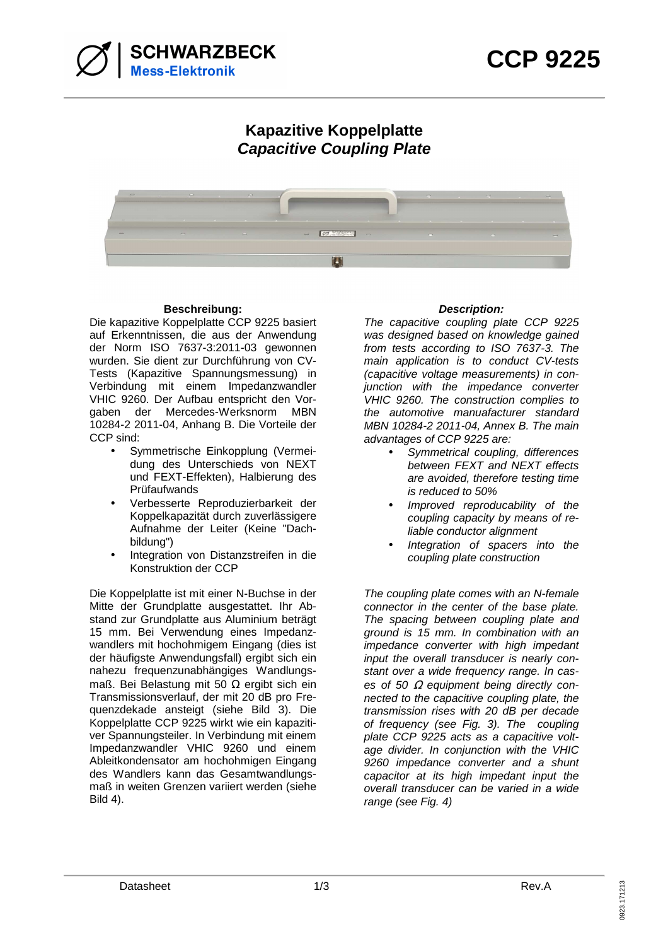

## **Kapazitive Koppelplatte Capacitive Coupling Plate**



## **Beschreibung: Description:**

Die kapazitive Koppelplatte CCP 9225 basiert auf Erkenntnissen, die aus der Anwendung der Norm ISO 7637-3:2011-03 gewonnen wurden. Sie dient zur Durchführung von CV-Tests (Kapazitive Spannungsmessung) in Verbindung mit einem Impedanzwandler VHIC 9260. Der Aufbau entspricht den Vorgaben der Mercedes-Werksnorm MBN 10284-2 2011-04, Anhang B. Die Vorteile der CCP sind:

- Symmetrische Einkopplung (Vermeidung des Unterschieds von NEXT und FEXT-Effekten), Halbierung des Prüfaufwands
- Verbesserte Reproduzierbarkeit der Koppelkapazität durch zuverlässigere Aufnahme der Leiter (Keine "Dachbildung")
- Integration von Distanzstreifen in die Konstruktion der CCP

Die Koppelplatte ist mit einer N-Buchse in der Mitte der Grundplatte ausgestattet. Ihr Abstand zur Grundplatte aus Aluminium beträgt 15 mm. Bei Verwendung eines Impedanzwandlers mit hochohmigem Eingang (dies ist der häufigste Anwendungsfall) ergibt sich ein nahezu frequenzunabhängiges Wandlungsmaß. Bei Belastung mit 50 Ω ergibt sich ein Transmissionsverlauf, der mit 20 dB pro Frequenzdekade ansteigt (siehe Bild 3). Die Koppelplatte CCP 9225 wirkt wie ein kapazitiver Spannungsteiler. In Verbindung mit einem Impedanzwandler VHIC 9260 und einem Ableitkondensator am hochohmigen Eingang des Wandlers kann das Gesamtwandlungsmaß in weiten Grenzen variiert werden (siehe Bild 4).

The capacitive coupling plate CCP 9225 was designed based on knowledge gained from tests according to ISO 7637-3. The main application is to conduct CV-tests (capacitive voltage measurements) in conjunction with the impedance converter VHIC 9260. The construction complies to the automotive manuafacturer standard MBN 10284-2 2011-04, Annex B. The main advantages of CCP 9225 are:

- Symmetrical coupling, differences between FEXT and NEXT effects are avoided, therefore testing time is reduced to 50%
- Improved reproducability of the coupling capacity by means of reliable conductor alignment
- Integration of spacers into the coupling plate construction

The coupling plate comes with an N-female connector in the center of the base plate. The spacing between coupling plate and ground is 15 mm. In combination with an impedance converter with high impedant input the overall transducer is nearly constant over a wide frequency range. In cases of 50  $\Omega$  equipment being directly connected to the capacitive coupling plate, the transmission rises with 20 dB per decade of frequency (see Fig. 3). The coupling plate CCP 9225 acts as a capacitive voltage divider. In conjunction with the VHIC 9260 impedance converter and a shunt capacitor at its high impedant input the overall transducer can be varied in a wide range (see Fig. 4)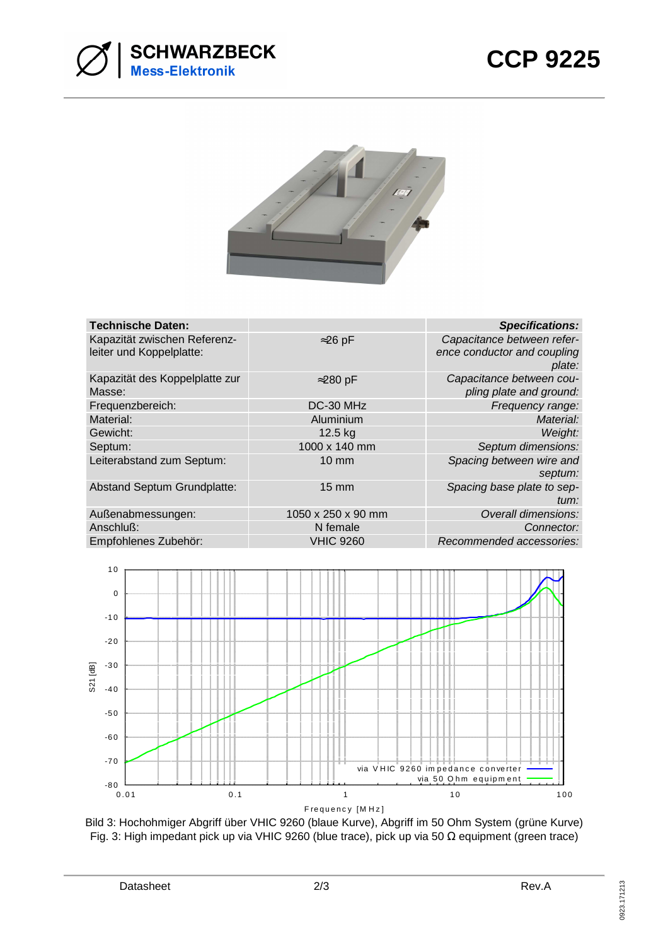



| <b>Technische Daten:</b>                                 |                    | <b>Specifications:</b>                                              |
|----------------------------------------------------------|--------------------|---------------------------------------------------------------------|
| Kapazität zwischen Referenz-<br>leiter und Koppelplatte: | $\approx$ 26 pF    | Capacitance between refer-<br>ence conductor and coupling<br>plate: |
| Kapazität des Koppelplatte zur<br>Masse:                 | $\approx$ 280 pF   | Capacitance between cou-<br>pling plate and ground:                 |
| Frequenzbereich:                                         | DC-30 MHz          | Frequency range:                                                    |
| Material:                                                | Aluminium          | Material:                                                           |
| Gewicht:                                                 | 12.5 kg            | Weight:                                                             |
| Septum:                                                  | 1000 x 140 mm      | Septum dimensions:                                                  |
| Leiterabstand zum Septum:                                | $10 \text{ mm}$    | Spacing between wire and<br>septum:                                 |
| Abstand Septum Grundplatte:                              | <b>15 mm</b>       | Spacing base plate to sep-<br>tum:                                  |
| Außenabmessungen:                                        | 1050 x 250 x 90 mm | Overall dimensions:                                                 |
| Anschluß:                                                | N female           | Connector:                                                          |
| Empfohlenes Zubehör:                                     | <b>VHIC 9260</b>   | Recommended accessories:                                            |



Bild 3: Hochohmiger Abgriff über VHIC 9260 (blaue Kurve), Abgriff im 50 Ohm System (grüne Kurve) Fig. 3: High impedant pick up via VHIC 9260 (blue trace), pick up via 50 Ω equipment (green trace)